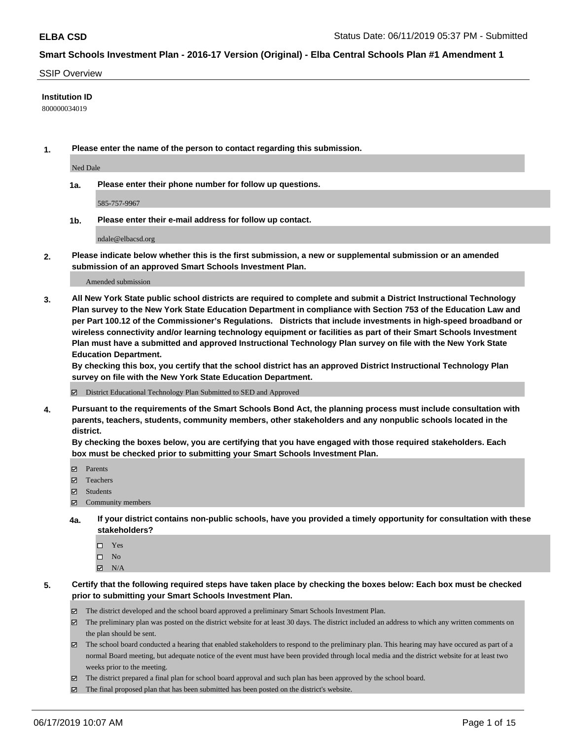#### SSIP Overview

#### **Institution ID**

800000034019

**1. Please enter the name of the person to contact regarding this submission.**

Ned Dale

**1a. Please enter their phone number for follow up questions.**

585-757-9967

**1b. Please enter their e-mail address for follow up contact.**

ndale@elbacsd.org

**2. Please indicate below whether this is the first submission, a new or supplemental submission or an amended submission of an approved Smart Schools Investment Plan.**

#### Amended submission

**3. All New York State public school districts are required to complete and submit a District Instructional Technology Plan survey to the New York State Education Department in compliance with Section 753 of the Education Law and per Part 100.12 of the Commissioner's Regulations. Districts that include investments in high-speed broadband or wireless connectivity and/or learning technology equipment or facilities as part of their Smart Schools Investment Plan must have a submitted and approved Instructional Technology Plan survey on file with the New York State Education Department.** 

**By checking this box, you certify that the school district has an approved District Instructional Technology Plan survey on file with the New York State Education Department.**

District Educational Technology Plan Submitted to SED and Approved

**4. Pursuant to the requirements of the Smart Schools Bond Act, the planning process must include consultation with parents, teachers, students, community members, other stakeholders and any nonpublic schools located in the district.** 

**By checking the boxes below, you are certifying that you have engaged with those required stakeholders. Each box must be checked prior to submitting your Smart Schools Investment Plan.**

- Parents
- Teachers
- Students
- Community members
- **4a. If your district contains non-public schools, have you provided a timely opportunity for consultation with these stakeholders?**
	- □ Yes
	- $\square$  No
	- $N/A$
- **5. Certify that the following required steps have taken place by checking the boxes below: Each box must be checked prior to submitting your Smart Schools Investment Plan.**
	- The district developed and the school board approved a preliminary Smart Schools Investment Plan.
	- $\boxtimes$  The preliminary plan was posted on the district website for at least 30 days. The district included an address to which any written comments on the plan should be sent.
	- $\boxtimes$  The school board conducted a hearing that enabled stakeholders to respond to the preliminary plan. This hearing may have occured as part of a normal Board meeting, but adequate notice of the event must have been provided through local media and the district website for at least two weeks prior to the meeting.
	- The district prepared a final plan for school board approval and such plan has been approved by the school board.
	- $\boxtimes$  The final proposed plan that has been submitted has been posted on the district's website.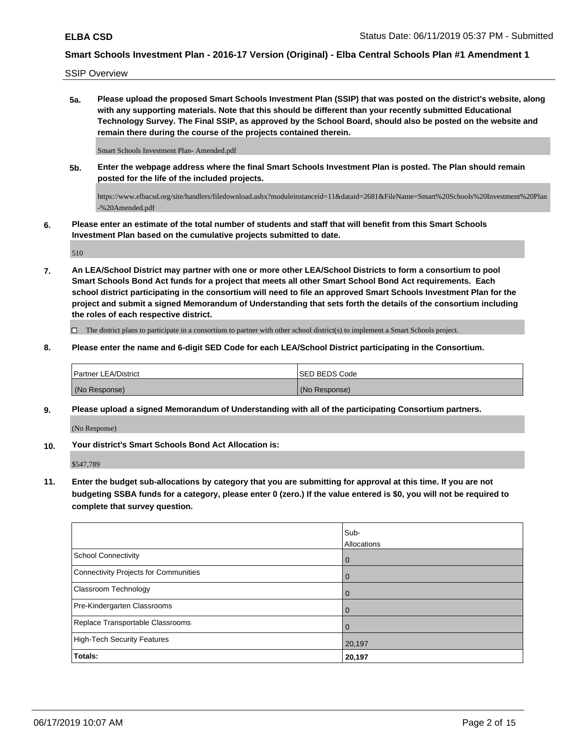SSIP Overview

**5a. Please upload the proposed Smart Schools Investment Plan (SSIP) that was posted on the district's website, along with any supporting materials. Note that this should be different than your recently submitted Educational Technology Survey. The Final SSIP, as approved by the School Board, should also be posted on the website and remain there during the course of the projects contained therein.**

Smart Schools Investment Plan- Amended.pdf

**5b. Enter the webpage address where the final Smart Schools Investment Plan is posted. The Plan should remain posted for the life of the included projects.**

https://www.elbacsd.org/site/handlers/filedownload.ashx?moduleinstanceid=11&dataid=2681&FileName=Smart%20Schools%20Investment%20Plan -%20Amended.pdf

**6. Please enter an estimate of the total number of students and staff that will benefit from this Smart Schools Investment Plan based on the cumulative projects submitted to date.**

510

**7. An LEA/School District may partner with one or more other LEA/School Districts to form a consortium to pool Smart Schools Bond Act funds for a project that meets all other Smart School Bond Act requirements. Each school district participating in the consortium will need to file an approved Smart Schools Investment Plan for the project and submit a signed Memorandum of Understanding that sets forth the details of the consortium including the roles of each respective district.**

 $\Box$  The district plans to participate in a consortium to partner with other school district(s) to implement a Smart Schools project.

**8. Please enter the name and 6-digit SED Code for each LEA/School District participating in the Consortium.**

| <b>Partner LEA/District</b> | ISED BEDS Code |
|-----------------------------|----------------|
| (No Response)               | (No Response)  |

**9. Please upload a signed Memorandum of Understanding with all of the participating Consortium partners.**

(No Response)

**10. Your district's Smart Schools Bond Act Allocation is:**

\$547,789

**11. Enter the budget sub-allocations by category that you are submitting for approval at this time. If you are not budgeting SSBA funds for a category, please enter 0 (zero.) If the value entered is \$0, you will not be required to complete that survey question.**

|                                              | Sub-<br>Allocations |
|----------------------------------------------|---------------------|
| <b>School Connectivity</b>                   | $\overline{0}$      |
| <b>Connectivity Projects for Communities</b> | $\overline{0}$      |
| <b>Classroom Technology</b>                  | $\overline{0}$      |
| Pre-Kindergarten Classrooms                  | $\mathbf 0$         |
| Replace Transportable Classrooms             | $\mathbf 0$         |
| <b>High-Tech Security Features</b>           | 20,197              |
| Totals:                                      | 20,197              |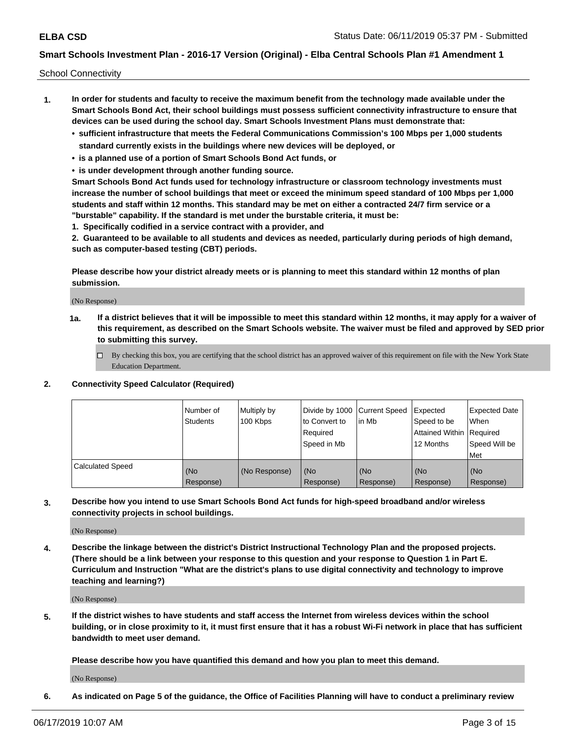School Connectivity

- **1. In order for students and faculty to receive the maximum benefit from the technology made available under the Smart Schools Bond Act, their school buildings must possess sufficient connectivity infrastructure to ensure that devices can be used during the school day. Smart Schools Investment Plans must demonstrate that:**
	- **• sufficient infrastructure that meets the Federal Communications Commission's 100 Mbps per 1,000 students standard currently exists in the buildings where new devices will be deployed, or**
	- **• is a planned use of a portion of Smart Schools Bond Act funds, or**
	- **• is under development through another funding source.**

**Smart Schools Bond Act funds used for technology infrastructure or classroom technology investments must increase the number of school buildings that meet or exceed the minimum speed standard of 100 Mbps per 1,000 students and staff within 12 months. This standard may be met on either a contracted 24/7 firm service or a "burstable" capability. If the standard is met under the burstable criteria, it must be:**

**1. Specifically codified in a service contract with a provider, and**

**2. Guaranteed to be available to all students and devices as needed, particularly during periods of high demand, such as computer-based testing (CBT) periods.**

**Please describe how your district already meets or is planning to meet this standard within 12 months of plan submission.**

(No Response)

**1a. If a district believes that it will be impossible to meet this standard within 12 months, it may apply for a waiver of this requirement, as described on the Smart Schools website. The waiver must be filed and approved by SED prior to submitting this survey.**

 $\Box$  By checking this box, you are certifying that the school district has an approved waiver of this requirement on file with the New York State Education Department.

### **2. Connectivity Speed Calculator (Required)**

|                         | Number of<br>Students | Multiply by<br>100 Kbps | Divide by 1000 Current Speed<br>to Convert to<br>Required<br>Speed in Mb | l in Mb          | Expected<br>Speed to be<br>Attained Within   Required<br>12 Months | <b>Expected Date</b><br>When<br>Speed Will be<br><b>Met</b> |
|-------------------------|-----------------------|-------------------------|--------------------------------------------------------------------------|------------------|--------------------------------------------------------------------|-------------------------------------------------------------|
| <b>Calculated Speed</b> | (No<br>Response)      | (No Response)           | (No<br>Response)                                                         | (No<br>Response) | (No<br>Response)                                                   | (No<br>Response)                                            |

**3. Describe how you intend to use Smart Schools Bond Act funds for high-speed broadband and/or wireless connectivity projects in school buildings.**

(No Response)

**4. Describe the linkage between the district's District Instructional Technology Plan and the proposed projects. (There should be a link between your response to this question and your response to Question 1 in Part E. Curriculum and Instruction "What are the district's plans to use digital connectivity and technology to improve teaching and learning?)**

(No Response)

**5. If the district wishes to have students and staff access the Internet from wireless devices within the school building, or in close proximity to it, it must first ensure that it has a robust Wi-Fi network in place that has sufficient bandwidth to meet user demand.**

**Please describe how you have quantified this demand and how you plan to meet this demand.**

(No Response)

**6. As indicated on Page 5 of the guidance, the Office of Facilities Planning will have to conduct a preliminary review**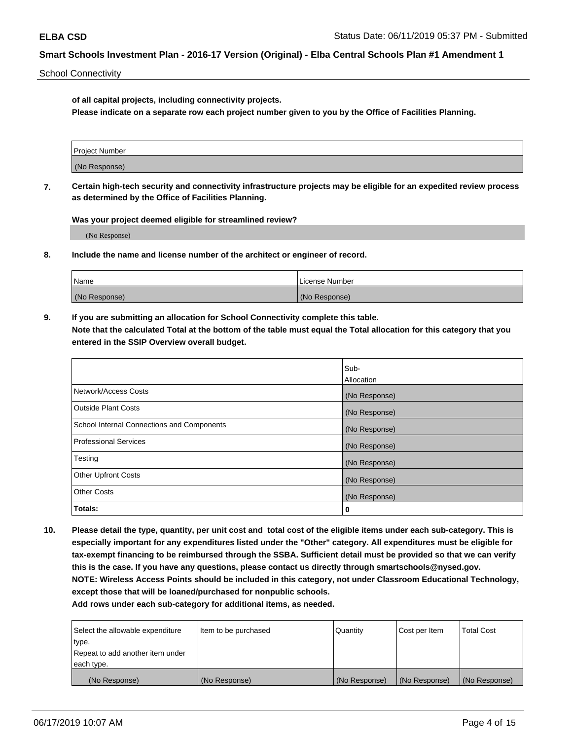School Connectivity

**of all capital projects, including connectivity projects.**

**Please indicate on a separate row each project number given to you by the Office of Facilities Planning.**

| Project Number |  |
|----------------|--|
|                |  |
|                |  |
| (No Response)  |  |
|                |  |

**7. Certain high-tech security and connectivity infrastructure projects may be eligible for an expedited review process as determined by the Office of Facilities Planning.**

**Was your project deemed eligible for streamlined review?**

(No Response)

**8. Include the name and license number of the architect or engineer of record.**

| Name          | License Number |
|---------------|----------------|
| (No Response) | (No Response)  |

**9. If you are submitting an allocation for School Connectivity complete this table. Note that the calculated Total at the bottom of the table must equal the Total allocation for this category that you entered in the SSIP Overview overall budget.** 

|                                            | Sub-              |
|--------------------------------------------|-------------------|
|                                            | <b>Allocation</b> |
| Network/Access Costs                       | (No Response)     |
| <b>Outside Plant Costs</b>                 | (No Response)     |
| School Internal Connections and Components | (No Response)     |
| <b>Professional Services</b>               | (No Response)     |
| Testing                                    | (No Response)     |
| <b>Other Upfront Costs</b>                 | (No Response)     |
| <b>Other Costs</b>                         | (No Response)     |
| Totals:                                    | 0                 |

**10. Please detail the type, quantity, per unit cost and total cost of the eligible items under each sub-category. This is especially important for any expenditures listed under the "Other" category. All expenditures must be eligible for tax-exempt financing to be reimbursed through the SSBA. Sufficient detail must be provided so that we can verify this is the case. If you have any questions, please contact us directly through smartschools@nysed.gov. NOTE: Wireless Access Points should be included in this category, not under Classroom Educational Technology, except those that will be loaned/purchased for nonpublic schools.**

| Select the allowable expenditure | Item to be purchased | Quantity      | Cost per Item | <b>Total Cost</b> |
|----------------------------------|----------------------|---------------|---------------|-------------------|
| type.                            |                      |               |               |                   |
| Repeat to add another item under |                      |               |               |                   |
| each type.                       |                      |               |               |                   |
| (No Response)                    | (No Response)        | (No Response) | (No Response) | (No Response)     |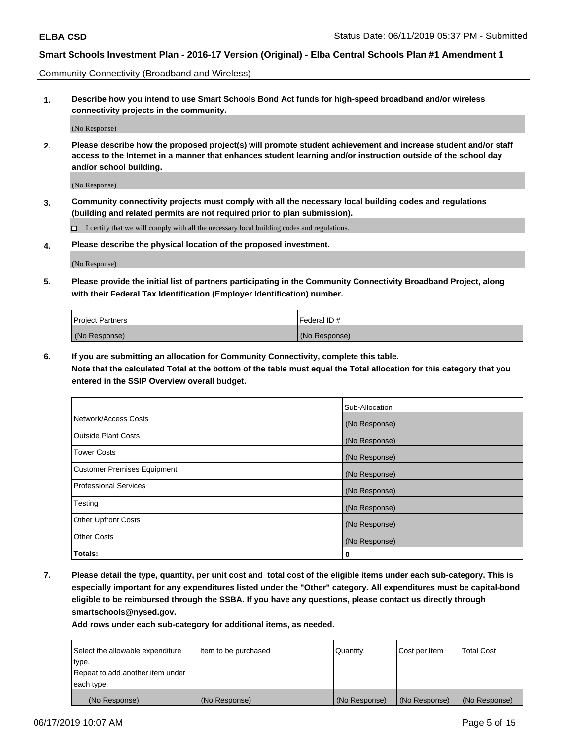Community Connectivity (Broadband and Wireless)

**1. Describe how you intend to use Smart Schools Bond Act funds for high-speed broadband and/or wireless connectivity projects in the community.**

(No Response)

**2. Please describe how the proposed project(s) will promote student achievement and increase student and/or staff access to the Internet in a manner that enhances student learning and/or instruction outside of the school day and/or school building.**

(No Response)

**3. Community connectivity projects must comply with all the necessary local building codes and regulations (building and related permits are not required prior to plan submission).**

 $\Box$  I certify that we will comply with all the necessary local building codes and regulations.

**4. Please describe the physical location of the proposed investment.**

(No Response)

**5. Please provide the initial list of partners participating in the Community Connectivity Broadband Project, along with their Federal Tax Identification (Employer Identification) number.**

| <b>Project Partners</b> | Federal ID#   |
|-------------------------|---------------|
| (No Response)           | (No Response) |

**6. If you are submitting an allocation for Community Connectivity, complete this table.**

**Note that the calculated Total at the bottom of the table must equal the Total allocation for this category that you entered in the SSIP Overview overall budget.**

|                                    | Sub-Allocation |
|------------------------------------|----------------|
| Network/Access Costs               | (No Response)  |
| <b>Outside Plant Costs</b>         | (No Response)  |
| <b>Tower Costs</b>                 | (No Response)  |
| <b>Customer Premises Equipment</b> | (No Response)  |
| <b>Professional Services</b>       | (No Response)  |
| Testing                            | (No Response)  |
| <b>Other Upfront Costs</b>         | (No Response)  |
| <b>Other Costs</b>                 | (No Response)  |
| Totals:                            | 0              |

**7. Please detail the type, quantity, per unit cost and total cost of the eligible items under each sub-category. This is especially important for any expenditures listed under the "Other" category. All expenditures must be capital-bond eligible to be reimbursed through the SSBA. If you have any questions, please contact us directly through smartschools@nysed.gov.**

| Select the allowable expenditure | Item to be purchased | l Quantitv    | Cost per Item | <b>Total Cost</b> |
|----------------------------------|----------------------|---------------|---------------|-------------------|
| type.                            |                      |               |               |                   |
| Repeat to add another item under |                      |               |               |                   |
| each type.                       |                      |               |               |                   |
| (No Response)                    | (No Response)        | (No Response) | (No Response) | (No Response)     |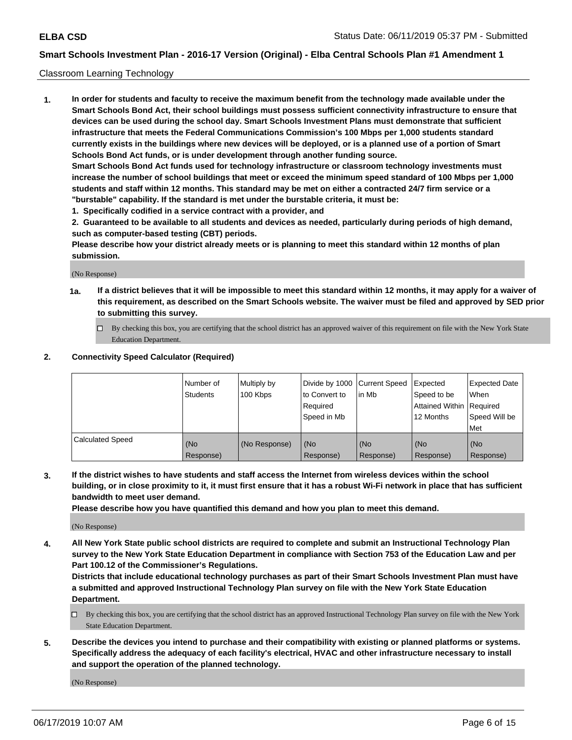#### Classroom Learning Technology

**1. In order for students and faculty to receive the maximum benefit from the technology made available under the Smart Schools Bond Act, their school buildings must possess sufficient connectivity infrastructure to ensure that devices can be used during the school day. Smart Schools Investment Plans must demonstrate that sufficient infrastructure that meets the Federal Communications Commission's 100 Mbps per 1,000 students standard currently exists in the buildings where new devices will be deployed, or is a planned use of a portion of Smart Schools Bond Act funds, or is under development through another funding source. Smart Schools Bond Act funds used for technology infrastructure or classroom technology investments must increase the number of school buildings that meet or exceed the minimum speed standard of 100 Mbps per 1,000 students and staff within 12 months. This standard may be met on either a contracted 24/7 firm service or a "burstable" capability. If the standard is met under the burstable criteria, it must be:**

**1. Specifically codified in a service contract with a provider, and**

**2. Guaranteed to be available to all students and devices as needed, particularly during periods of high demand, such as computer-based testing (CBT) periods.**

**Please describe how your district already meets or is planning to meet this standard within 12 months of plan submission.**

(No Response)

- **1a. If a district believes that it will be impossible to meet this standard within 12 months, it may apply for a waiver of this requirement, as described on the Smart Schools website. The waiver must be filed and approved by SED prior to submitting this survey.**
	- By checking this box, you are certifying that the school district has an approved waiver of this requirement on file with the New York State Education Department.

#### **2. Connectivity Speed Calculator (Required)**

|                         | l Number of<br>Students | Multiply by<br>100 Kbps | to Convert to<br>Required<br>Speed in Mb | Divide by 1000 Current Speed Expected<br>lin Mb | Speed to be<br>Attained Within Required<br>12 Months | <b>Expected Date</b><br>When<br>Speed Will be<br>Met |
|-------------------------|-------------------------|-------------------------|------------------------------------------|-------------------------------------------------|------------------------------------------------------|------------------------------------------------------|
| <b>Calculated Speed</b> | (No<br>Response)        | (No Response)           | (No<br>Response)                         | (No<br>Response)                                | (No<br>Response)                                     | (No<br>Response)                                     |

**3. If the district wishes to have students and staff access the Internet from wireless devices within the school building, or in close proximity to it, it must first ensure that it has a robust Wi-Fi network in place that has sufficient bandwidth to meet user demand.**

**Please describe how you have quantified this demand and how you plan to meet this demand.**

(No Response)

**4. All New York State public school districts are required to complete and submit an Instructional Technology Plan survey to the New York State Education Department in compliance with Section 753 of the Education Law and per Part 100.12 of the Commissioner's Regulations.**

**Districts that include educational technology purchases as part of their Smart Schools Investment Plan must have a submitted and approved Instructional Technology Plan survey on file with the New York State Education Department.**

- $\Box$  By checking this box, you are certifying that the school district has an approved Instructional Technology Plan survey on file with the New York State Education Department.
- **5. Describe the devices you intend to purchase and their compatibility with existing or planned platforms or systems. Specifically address the adequacy of each facility's electrical, HVAC and other infrastructure necessary to install and support the operation of the planned technology.**

(No Response)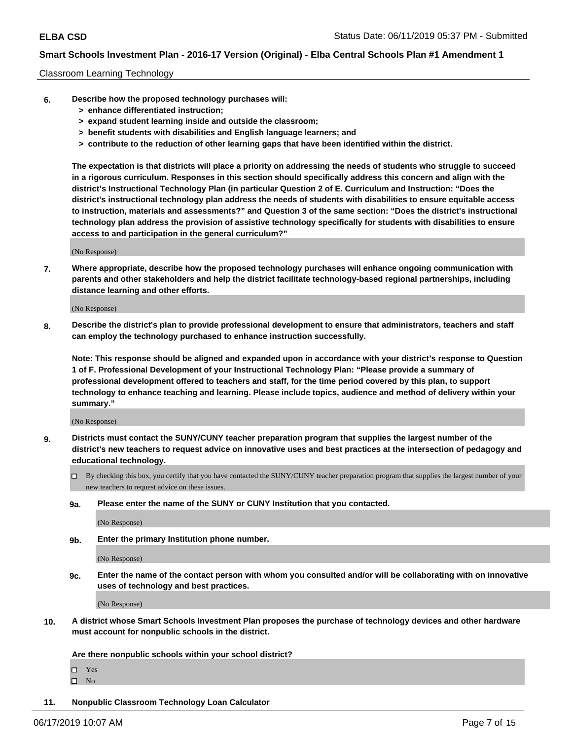### Classroom Learning Technology

- **6. Describe how the proposed technology purchases will:**
	- **> enhance differentiated instruction;**
	- **> expand student learning inside and outside the classroom;**
	- **> benefit students with disabilities and English language learners; and**
	- **> contribute to the reduction of other learning gaps that have been identified within the district.**

**The expectation is that districts will place a priority on addressing the needs of students who struggle to succeed in a rigorous curriculum. Responses in this section should specifically address this concern and align with the district's Instructional Technology Plan (in particular Question 2 of E. Curriculum and Instruction: "Does the district's instructional technology plan address the needs of students with disabilities to ensure equitable access to instruction, materials and assessments?" and Question 3 of the same section: "Does the district's instructional technology plan address the provision of assistive technology specifically for students with disabilities to ensure access to and participation in the general curriculum?"**

(No Response)

**7. Where appropriate, describe how the proposed technology purchases will enhance ongoing communication with parents and other stakeholders and help the district facilitate technology-based regional partnerships, including distance learning and other efforts.**

(No Response)

**8. Describe the district's plan to provide professional development to ensure that administrators, teachers and staff can employ the technology purchased to enhance instruction successfully.**

**Note: This response should be aligned and expanded upon in accordance with your district's response to Question 1 of F. Professional Development of your Instructional Technology Plan: "Please provide a summary of professional development offered to teachers and staff, for the time period covered by this plan, to support technology to enhance teaching and learning. Please include topics, audience and method of delivery within your summary."**

(No Response)

- **9. Districts must contact the SUNY/CUNY teacher preparation program that supplies the largest number of the district's new teachers to request advice on innovative uses and best practices at the intersection of pedagogy and educational technology.**
	- By checking this box, you certify that you have contacted the SUNY/CUNY teacher preparation program that supplies the largest number of your new teachers to request advice on these issues.
	- **9a. Please enter the name of the SUNY or CUNY Institution that you contacted.**

(No Response)

**9b. Enter the primary Institution phone number.**

(No Response)

**9c. Enter the name of the contact person with whom you consulted and/or will be collaborating with on innovative uses of technology and best practices.**

(No Response)

**10. A district whose Smart Schools Investment Plan proposes the purchase of technology devices and other hardware must account for nonpublic schools in the district.**

**Are there nonpublic schools within your school district?**

Yes

 $\square$  No

**11. Nonpublic Classroom Technology Loan Calculator**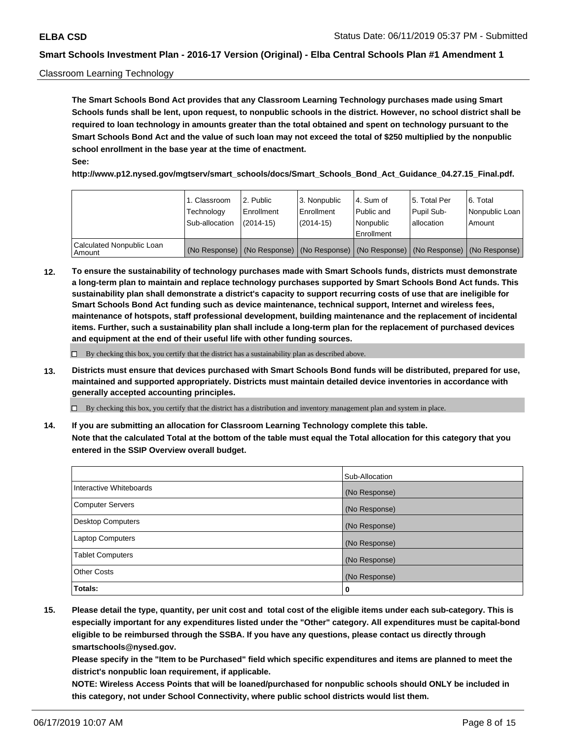### Classroom Learning Technology

**The Smart Schools Bond Act provides that any Classroom Learning Technology purchases made using Smart Schools funds shall be lent, upon request, to nonpublic schools in the district. However, no school district shall be required to loan technology in amounts greater than the total obtained and spent on technology pursuant to the Smart Schools Bond Act and the value of such loan may not exceed the total of \$250 multiplied by the nonpublic school enrollment in the base year at the time of enactment. See:**

**http://www.p12.nysed.gov/mgtserv/smart\_schools/docs/Smart\_Schools\_Bond\_Act\_Guidance\_04.27.15\_Final.pdf.**

|                                       | 1. Classroom<br>Technology<br>Sub-allocation | l 2. Public<br>Enrollment<br>$(2014-15)$ | 3. Nonpublic<br>l Enrollment<br>$(2014-15)$ | l 4. Sum of<br>Public and<br>l Nonpublic<br>Enrollment                                        | 15. Total Per<br>Pupil Sub-<br>allocation | l 6. Total<br>Nonpublic Loan<br>Amount |
|---------------------------------------|----------------------------------------------|------------------------------------------|---------------------------------------------|-----------------------------------------------------------------------------------------------|-------------------------------------------|----------------------------------------|
| Calculated Nonpublic Loan<br>l Amount |                                              |                                          |                                             | (No Response)   (No Response)   (No Response)   (No Response)   (No Response)   (No Response) |                                           |                                        |

**12. To ensure the sustainability of technology purchases made with Smart Schools funds, districts must demonstrate a long-term plan to maintain and replace technology purchases supported by Smart Schools Bond Act funds. This sustainability plan shall demonstrate a district's capacity to support recurring costs of use that are ineligible for Smart Schools Bond Act funding such as device maintenance, technical support, Internet and wireless fees, maintenance of hotspots, staff professional development, building maintenance and the replacement of incidental items. Further, such a sustainability plan shall include a long-term plan for the replacement of purchased devices and equipment at the end of their useful life with other funding sources.**

 $\Box$  By checking this box, you certify that the district has a sustainability plan as described above.

**13. Districts must ensure that devices purchased with Smart Schools Bond funds will be distributed, prepared for use, maintained and supported appropriately. Districts must maintain detailed device inventories in accordance with generally accepted accounting principles.**

By checking this box, you certify that the district has a distribution and inventory management plan and system in place.

**14. If you are submitting an allocation for Classroom Learning Technology complete this table. Note that the calculated Total at the bottom of the table must equal the Total allocation for this category that you entered in the SSIP Overview overall budget.**

|                          | Sub-Allocation |
|--------------------------|----------------|
| Interactive Whiteboards  | (No Response)  |
| <b>Computer Servers</b>  | (No Response)  |
| <b>Desktop Computers</b> | (No Response)  |
| <b>Laptop Computers</b>  | (No Response)  |
| <b>Tablet Computers</b>  | (No Response)  |
| <b>Other Costs</b>       | (No Response)  |
| Totals:                  | 0              |

**15. Please detail the type, quantity, per unit cost and total cost of the eligible items under each sub-category. This is especially important for any expenditures listed under the "Other" category. All expenditures must be capital-bond eligible to be reimbursed through the SSBA. If you have any questions, please contact us directly through smartschools@nysed.gov.**

**Please specify in the "Item to be Purchased" field which specific expenditures and items are planned to meet the district's nonpublic loan requirement, if applicable.**

**NOTE: Wireless Access Points that will be loaned/purchased for nonpublic schools should ONLY be included in this category, not under School Connectivity, where public school districts would list them.**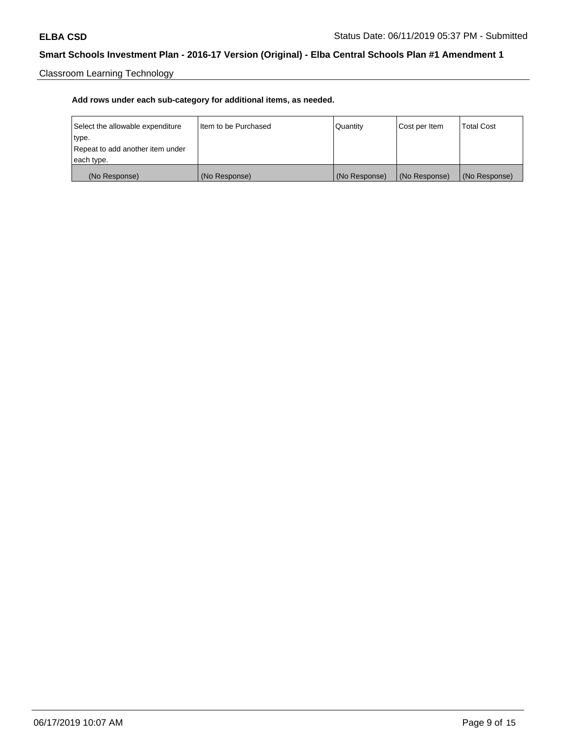Classroom Learning Technology

| Select the allowable expenditure | Iltem to be Purchased | Quantity      | Cost per Item | <b>Total Cost</b> |
|----------------------------------|-----------------------|---------------|---------------|-------------------|
| type.                            |                       |               |               |                   |
| Repeat to add another item under |                       |               |               |                   |
| each type.                       |                       |               |               |                   |
| (No Response)                    | (No Response)         | (No Response) | (No Response) | (No Response)     |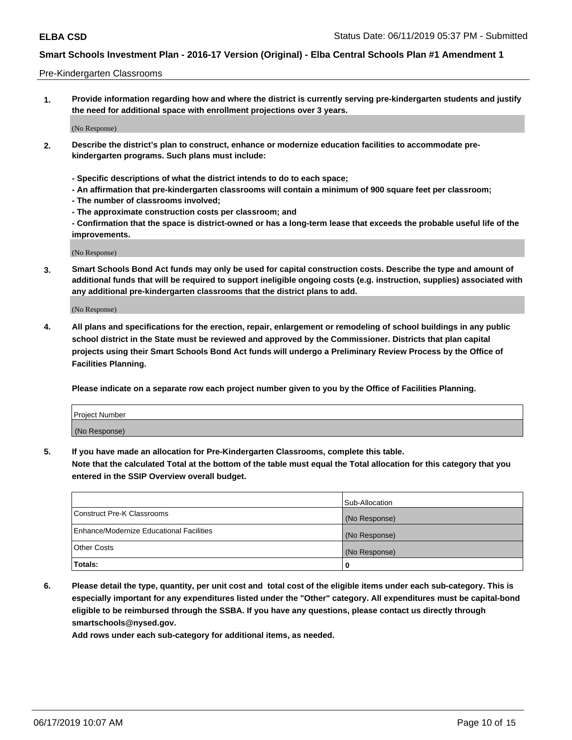#### Pre-Kindergarten Classrooms

**1. Provide information regarding how and where the district is currently serving pre-kindergarten students and justify the need for additional space with enrollment projections over 3 years.**

(No Response)

- **2. Describe the district's plan to construct, enhance or modernize education facilities to accommodate prekindergarten programs. Such plans must include:**
	- **Specific descriptions of what the district intends to do to each space;**
	- **An affirmation that pre-kindergarten classrooms will contain a minimum of 900 square feet per classroom;**
	- **The number of classrooms involved;**
	- **The approximate construction costs per classroom; and**
	- **Confirmation that the space is district-owned or has a long-term lease that exceeds the probable useful life of the improvements.**

(No Response)

**3. Smart Schools Bond Act funds may only be used for capital construction costs. Describe the type and amount of additional funds that will be required to support ineligible ongoing costs (e.g. instruction, supplies) associated with any additional pre-kindergarten classrooms that the district plans to add.**

(No Response)

**4. All plans and specifications for the erection, repair, enlargement or remodeling of school buildings in any public school district in the State must be reviewed and approved by the Commissioner. Districts that plan capital projects using their Smart Schools Bond Act funds will undergo a Preliminary Review Process by the Office of Facilities Planning.**

**Please indicate on a separate row each project number given to you by the Office of Facilities Planning.**

| Project Number |  |
|----------------|--|
| (No Response)  |  |
|                |  |

**5. If you have made an allocation for Pre-Kindergarten Classrooms, complete this table.**

**Note that the calculated Total at the bottom of the table must equal the Total allocation for this category that you entered in the SSIP Overview overall budget.**

|                                          | Sub-Allocation |
|------------------------------------------|----------------|
| Construct Pre-K Classrooms               | (No Response)  |
| Enhance/Modernize Educational Facilities | (No Response)  |
| <b>Other Costs</b>                       | (No Response)  |
| Totals:                                  | 0              |

**6. Please detail the type, quantity, per unit cost and total cost of the eligible items under each sub-category. This is especially important for any expenditures listed under the "Other" category. All expenditures must be capital-bond eligible to be reimbursed through the SSBA. If you have any questions, please contact us directly through smartschools@nysed.gov.**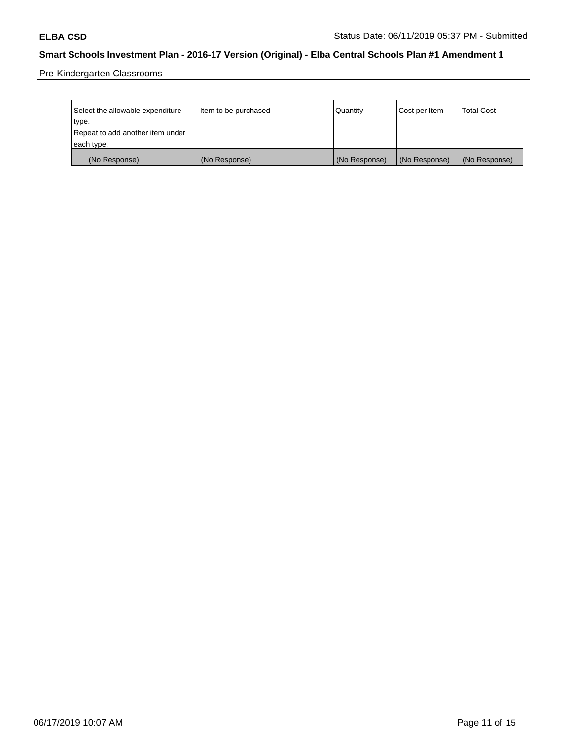Pre-Kindergarten Classrooms

| Select the allowable expenditure | Item to be purchased | Quantity      | Cost per Item | <b>Total Cost</b> |
|----------------------------------|----------------------|---------------|---------------|-------------------|
| type.                            |                      |               |               |                   |
| Repeat to add another item under |                      |               |               |                   |
| each type.                       |                      |               |               |                   |
| (No Response)                    | (No Response)        | (No Response) | (No Response) | (No Response)     |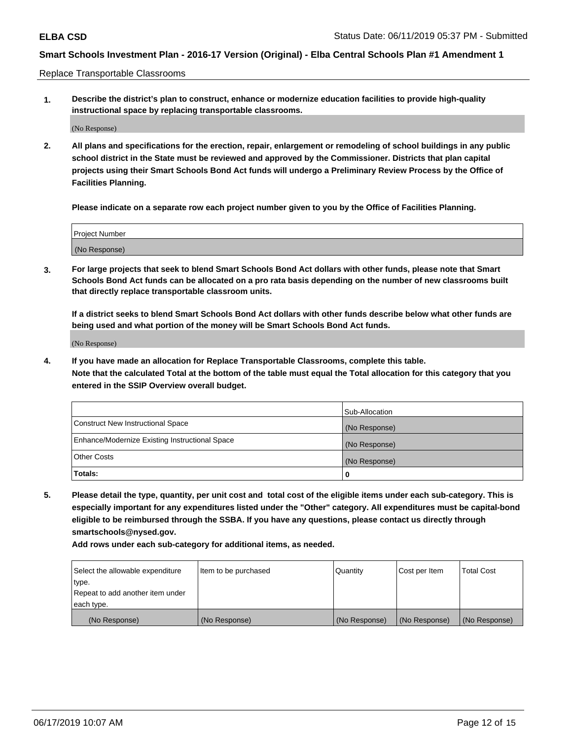Replace Transportable Classrooms

**1. Describe the district's plan to construct, enhance or modernize education facilities to provide high-quality instructional space by replacing transportable classrooms.**

(No Response)

**2. All plans and specifications for the erection, repair, enlargement or remodeling of school buildings in any public school district in the State must be reviewed and approved by the Commissioner. Districts that plan capital projects using their Smart Schools Bond Act funds will undergo a Preliminary Review Process by the Office of Facilities Planning.**

**Please indicate on a separate row each project number given to you by the Office of Facilities Planning.**

| Project Number |  |
|----------------|--|
|                |  |
|                |  |
|                |  |
|                |  |
| (No Response)  |  |
|                |  |
|                |  |
|                |  |

**3. For large projects that seek to blend Smart Schools Bond Act dollars with other funds, please note that Smart Schools Bond Act funds can be allocated on a pro rata basis depending on the number of new classrooms built that directly replace transportable classroom units.**

**If a district seeks to blend Smart Schools Bond Act dollars with other funds describe below what other funds are being used and what portion of the money will be Smart Schools Bond Act funds.**

(No Response)

**4. If you have made an allocation for Replace Transportable Classrooms, complete this table. Note that the calculated Total at the bottom of the table must equal the Total allocation for this category that you entered in the SSIP Overview overall budget.**

|                                                | Sub-Allocation |
|------------------------------------------------|----------------|
| Construct New Instructional Space              | (No Response)  |
| Enhance/Modernize Existing Instructional Space | (No Response)  |
| <b>Other Costs</b>                             | (No Response)  |
| Totals:                                        | 0              |

**5. Please detail the type, quantity, per unit cost and total cost of the eligible items under each sub-category. This is especially important for any expenditures listed under the "Other" category. All expenditures must be capital-bond eligible to be reimbursed through the SSBA. If you have any questions, please contact us directly through smartschools@nysed.gov.**

| Select the allowable expenditure | Item to be purchased | l Quantitv    | Cost per Item | <b>Total Cost</b> |
|----------------------------------|----------------------|---------------|---------------|-------------------|
| type.                            |                      |               |               |                   |
| Repeat to add another item under |                      |               |               |                   |
| each type.                       |                      |               |               |                   |
| (No Response)                    | (No Response)        | (No Response) | (No Response) | (No Response)     |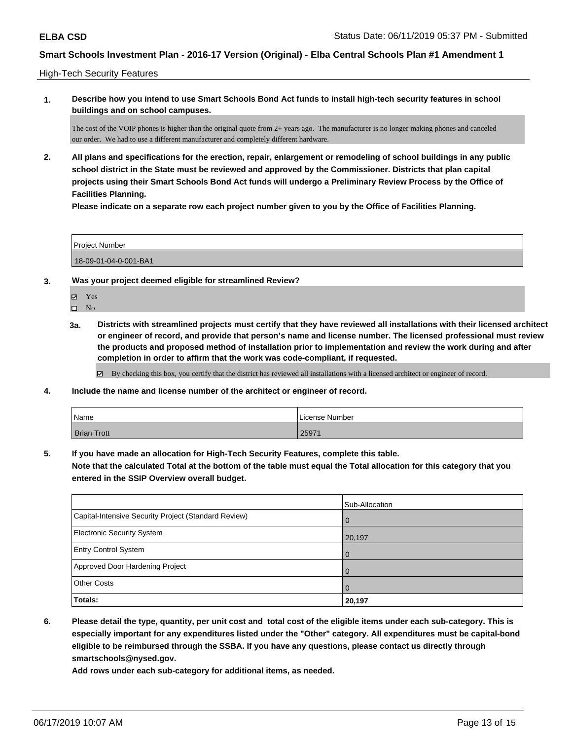### High-Tech Security Features

**1. Describe how you intend to use Smart Schools Bond Act funds to install high-tech security features in school buildings and on school campuses.**

The cost of the VOIP phones is higher than the original quote from 2+ years ago. The manufacturer is no longer making phones and canceled our order. We had to use a different manufacturer and completely different hardware.

**2. All plans and specifications for the erection, repair, enlargement or remodeling of school buildings in any public school district in the State must be reviewed and approved by the Commissioner. Districts that plan capital projects using their Smart Schools Bond Act funds will undergo a Preliminary Review Process by the Office of Facilities Planning.** 

**Please indicate on a separate row each project number given to you by the Office of Facilities Planning.**

| Project Number        |  |
|-----------------------|--|
| 18-09-01-04-0-001-BA1 |  |

- **3. Was your project deemed eligible for streamlined Review?**
	- Yes

 $\square$  No

**3a. Districts with streamlined projects must certify that they have reviewed all installations with their licensed architect or engineer of record, and provide that person's name and license number. The licensed professional must review the products and proposed method of installation prior to implementation and review the work during and after completion in order to affirm that the work was code-compliant, if requested.**

By checking this box, you certify that the district has reviewed all installations with a licensed architect or engineer of record.

**4. Include the name and license number of the architect or engineer of record.**

| Name               | License Number |
|--------------------|----------------|
| <b>Brian Trott</b> | 25971          |

**5. If you have made an allocation for High-Tech Security Features, complete this table.**

**Note that the calculated Total at the bottom of the table must equal the Total allocation for this category that you entered in the SSIP Overview overall budget.**

|                                                      | Sub-Allocation |
|------------------------------------------------------|----------------|
| Capital-Intensive Security Project (Standard Review) | $\Omega$       |
| <b>Electronic Security System</b>                    | 20,197         |
| <b>Entry Control System</b>                          |                |
| Approved Door Hardening Project                      |                |
| <b>Other Costs</b>                                   |                |
| Totals:                                              | 20,197         |

**6. Please detail the type, quantity, per unit cost and total cost of the eligible items under each sub-category. This is especially important for any expenditures listed under the "Other" category. All expenditures must be capital-bond eligible to be reimbursed through the SSBA. If you have any questions, please contact us directly through smartschools@nysed.gov.**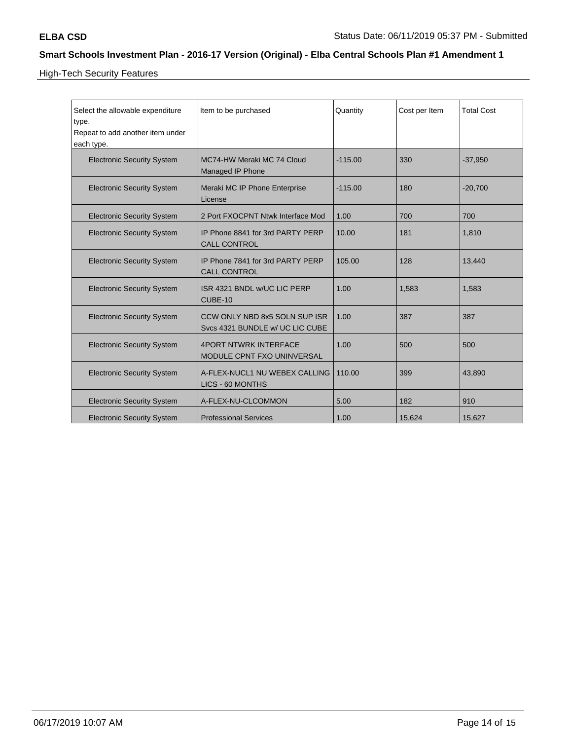High-Tech Security Features

| Select the allowable expenditure<br>type.<br>Repeat to add another item under<br>each type. | Item to be purchased                                             | Quantity  | Cost per Item | <b>Total Cost</b> |
|---------------------------------------------------------------------------------------------|------------------------------------------------------------------|-----------|---------------|-------------------|
| <b>Electronic Security System</b>                                                           | MC74-HW Meraki MC 74 Cloud<br>Managed IP Phone                   | $-115.00$ | 330           | $-37,950$         |
| <b>Electronic Security System</b>                                                           | Meraki MC IP Phone Enterprise<br>License                         | $-115.00$ | 180           | $-20,700$         |
| <b>Electronic Security System</b>                                                           | 2 Port FXOCPNT Ntwk Interface Mod                                | 1.00      | 700           | 700               |
| <b>Electronic Security System</b>                                                           | IP Phone 8841 for 3rd PARTY PERP<br><b>CALL CONTROL</b>          | 10.00     | 181           | 1,810             |
| <b>Electronic Security System</b>                                                           | IP Phone 7841 for 3rd PARTY PERP<br><b>CALL CONTROL</b>          | 105.00    | 128           | 13,440            |
| <b>Electronic Security System</b>                                                           | ISR 4321 BNDL w/UC LIC PERP<br>CUBE-10                           | 1.00      | 1,583         | 1,583             |
| <b>Electronic Security System</b>                                                           | CCW ONLY NBD 8x5 SOLN SUP ISR<br>Svcs 4321 BUNDLE w/ UC LIC CUBE | 1.00      | 387           | 387               |
| <b>Electronic Security System</b>                                                           | <b>4PORT NTWRK INTERFACE</b><br>MODULE CPNT FXO UNINVERSAL       | 1.00      | 500           | 500               |
| <b>Electronic Security System</b>                                                           | A-FLEX-NUCL1 NU WEBEX CALLING<br>LICS - 60 MONTHS                | 110.00    | 399           | 43,890            |
| <b>Electronic Security System</b>                                                           | A-FLEX-NU-CLCOMMON                                               | 5.00      | 182           | 910               |
| <b>Electronic Security System</b>                                                           | <b>Professional Services</b>                                     | 1.00      | 15,624        | 15,627            |